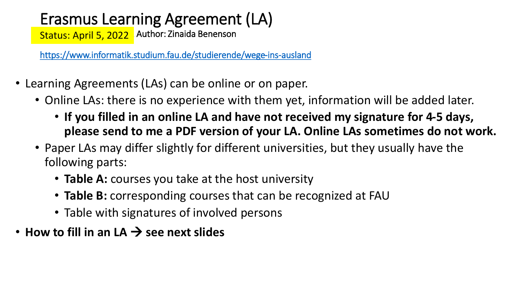### Erasmus Learning Agreement (LA)

Status: April 5, 2022 | Author: Zinaida Benenson

<https://www.informatik.studium.fau.de/studierende/wege-ins-ausland>

- Learning Agreements (LAs) can be online or on paper.
	- Online LAs: there is no experience with them yet, information will be added later.
		- **If you filled in an online LA and have not received my signature for 4-5 days, please send to me a PDF version of your LA. Online LAs sometimes do not work.**
	- Paper LAs may differ slightly for different universities, but they usually have the following parts:
		- **Table A:** courses you take at the host university
		- **Table B:** corresponding courses that can be recognized at FAU
		- Table with signatures of involved persons
- How to fill in an  $LA \rightarrow$  see next slides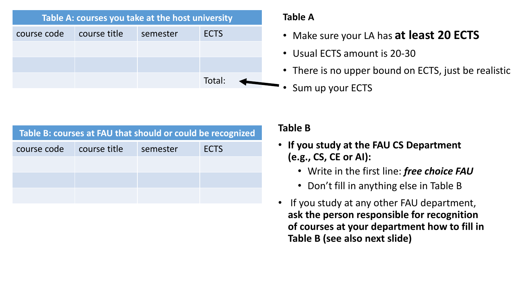| Table A: courses you take at the host university |              |          |             |  |  |  |  |  |
|--------------------------------------------------|--------------|----------|-------------|--|--|--|--|--|
| course code                                      | course title | semester | <b>ECTS</b> |  |  |  |  |  |
|                                                  |              |          |             |  |  |  |  |  |
|                                                  |              |          |             |  |  |  |  |  |
|                                                  |              |          | Total:      |  |  |  |  |  |

#### **Table A**

- Make sure your LA has **at least 20 ECTS**
- Usual ECTS amount is 20-30
- There is no upper bound on ECTS, just be realistic

• Sum up your ECTS

| Table B: courses at FAU that should or could be recognized |              |          |             |  |  |  |  |  |  |
|------------------------------------------------------------|--------------|----------|-------------|--|--|--|--|--|--|
| course code                                                | course title | semester | <b>ECTS</b> |  |  |  |  |  |  |
|                                                            |              |          |             |  |  |  |  |  |  |
|                                                            |              |          |             |  |  |  |  |  |  |
|                                                            |              |          |             |  |  |  |  |  |  |

#### **Table B**

- **If you study at the FAU CS Department (e.g., CS, CE or AI):**
	- Write in the first line: *free choice FAU*
	- Don't fill in anything else in Table B
- If you study at any other FAU department, **ask the person responsible for recognition of courses at your department how to fill in Table B (see also next slide)**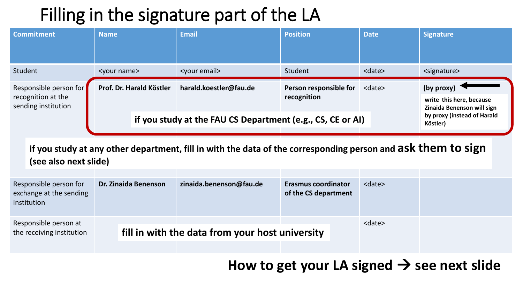## Filling in the signature part of the LA

|                                                                     | <b>Commitment</b>                                                | <b>Name</b>                                                                                                                           | <b>Email</b>                                               | <b>Position</b>                                    | <b>Date</b>                             | <b>Signature</b>                                                     |  |  |  |
|---------------------------------------------------------------------|------------------------------------------------------------------|---------------------------------------------------------------------------------------------------------------------------------------|------------------------------------------------------------|----------------------------------------------------|-----------------------------------------|----------------------------------------------------------------------|--|--|--|
| Student                                                             |                                                                  | <your name=""></your>                                                                                                                 | <your email=""></your>                                     | Student                                            | <date></date>                           | <signature></signature>                                              |  |  |  |
| Responsible person for<br>recognition at the<br>sending institution |                                                                  | Prof. Dr. Harald Köstler                                                                                                              | harald.koestler@fau.de                                     | Person responsible for<br>recognition              | <date></date>                           | (by proxy)<br>write this here, because<br>Zinaida Benenson will sign |  |  |  |
|                                                                     |                                                                  |                                                                                                                                       | if you study at the FAU CS Department (e.g., CS, CE or AI) |                                                    | by proxy (instead of Harald<br>Köstler) |                                                                      |  |  |  |
|                                                                     |                                                                  | if you study at any other department, fill in with the data of the corresponding person and aSK them to sign<br>(see also next slide) |                                                            |                                                    |                                         |                                                                      |  |  |  |
|                                                                     | Responsible person for<br>exchange at the sending<br>institution | <b>Dr. Zinaida Benenson</b>                                                                                                           | zinaida.benenson@fau.de                                    | <b>Erasmus coordinator</b><br>of the CS department | <date></date>                           |                                                                      |  |  |  |
| Responsible person at<br>the receiving institution                  |                                                                  |                                                                                                                                       | fill in with the data from your host university            |                                                    | <date></date>                           |                                                                      |  |  |  |

How to get your LA signed  $\rightarrow$  see next slide